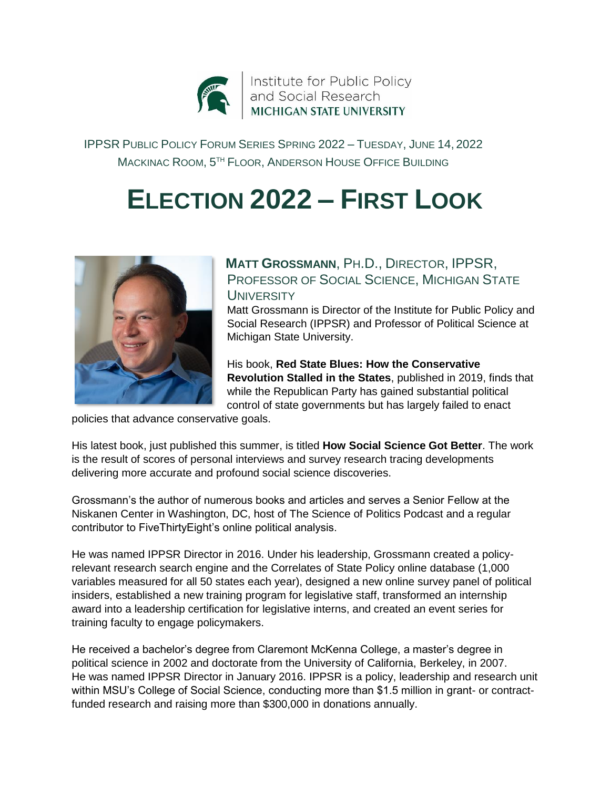

IPPSR PUBLIC POLICY FORUM SERIES SPRING 2022 – TUESDAY, JUNE 14, 2022 MACKINAC ROOM, 5 TH FLOOR, ANDERSON HOUSE OFFICE BUILDING

## **ELECTION 2022 – FIRST LOOK**



**MATT GROSSMANN**, PH.D., DIRECTOR, IPPSR, PROFESSOR OF SOCIAL SCIENCE, MICHIGAN STATE **UNIVERSITY** 

Matt Grossmann is Director of the Institute for Public Policy and Social Research (IPPSR) and Professor of Political Science at Michigan State University.

His book, **Red State Blues: How the Conservative Revolution Stalled in the States**, published in 2019, finds that while the Republican Party has gained substantial political control of state governments but has largely failed to enact

policies that advance conservative goals.

His latest book, just published this summer, is titled **How Social Science Got Better**. The work is the result of scores of personal interviews and survey research tracing developments delivering more accurate and profound social science discoveries.

Grossmann's the author of numerous books and articles and serves a Senior Fellow at the Niskanen Center in Washington, DC, host of The Science of Politics Podcast and a regular contributor to FiveThirtyEight's online political analysis.

He was named IPPSR Director in 2016. Under his leadership, Grossmann created a policyrelevant research search engine and the Correlates of State Policy online database (1,000 variables measured for all 50 states each year), designed a new online survey panel of political insiders, established a new training program for legislative staff, transformed an internship award into a leadership certification for legislative interns, and created an event series for training faculty to engage policymakers.

He received a bachelor's degree from Claremont McKenna College, a master's degree in political science in 2002 and doctorate from the University of California, Berkeley, in 2007. He was named IPPSR Director in January 2016. IPPSR is a policy, leadership and research unit within MSU's College of Social Science, conducting more than \$1.5 million in grant- or contractfunded research and raising more than \$300,000 in donations annually.